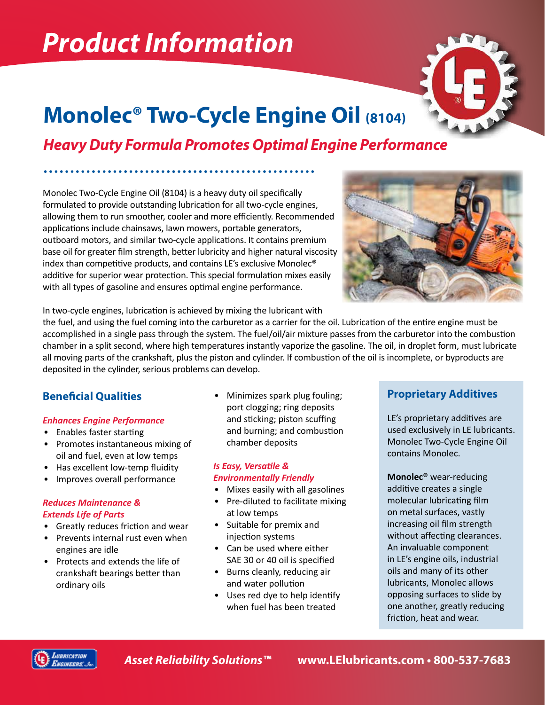# *Product Information*



# **Monolec® Two-Cycle Engine Oil (8104)**

# *Heavy Duty Formula Promotes Optimal Engine Performance*

Monolec Two-Cycle Engine Oil (8104) is a heavy duty oil specifically formulated to provide outstanding lubrication for all two-cycle engines, allowing them to run smoother, cooler and more efficiently. Recommended applications include chainsaws, lawn mowers, portable generators, outboard motors, and similar two-cycle applications. It contains premium base oil for greater film strength, better lubricity and higher natural viscosity index than competitive products, and contains LE's exclusive Monolec® additive for superior wear protection. This special formulation mixes easily with all types of gasoline and ensures optimal engine performance.



In two-cycle engines, lubrication is achieved by mixing the lubricant with

the fuel, and using the fuel coming into the carburetor as a carrier for the oil. Lubrication of the entire engine must be accomplished in a single pass through the system. The fuel/oil/air mixture passes from the carburetor into the combustion chamber in a split second, where high temperatures instantly vaporize the gasoline. The oil, in droplet form, must lubricate all moving parts of the crankshaft, plus the piston and cylinder. If combustion of the oil is incomplete, or byproducts are deposited in the cylinder, serious problems can develop.

# **Beneficial Qualities**

### *Enhances Engine Performance*

- Enables faster starting
- Promotes instantaneous mixing of oil and fuel, even at low temps
- Has excellent low-temp fluidity
- Improves overall performance

#### *Reduces Maintenance & Extends Life of Parts*

- Greatly reduces friction and wear
- Prevents internal rust even when engines are idle
- Protects and extends the life of crankshaft bearings better than ordinary oils

• Minimizes spark plug fouling; port clogging; ring deposits and sticking; piston scuffing and burning; and combustion chamber deposits

#### *Is Easy, Versatile & Environmentally Friendly*

- Mixes easily with all gasolines
- Pre-diluted to facilitate mixing at low temps
- Suitable for premix and injection systems
- Can be used where either SAE 30 or 40 oil is specified
- Burns cleanly, reducing air and water pollution
- Uses red dye to help identify when fuel has been treated

## **Proprietary Additives**

LE's proprietary additives are used exclusively in LE lubricants. Monolec Two-Cycle Engine Oil contains Monolec.

**Monolec®** wear-reducing additive creates a single molecular lubricating film on metal surfaces, vastly increasing oil film strength without affecting clearances. An invaluable component in LE's engine oils, industrial oils and many of its other lubricants, Monolec allows opposing surfaces to slide by one another, greatly reducing friction, heat and wear.